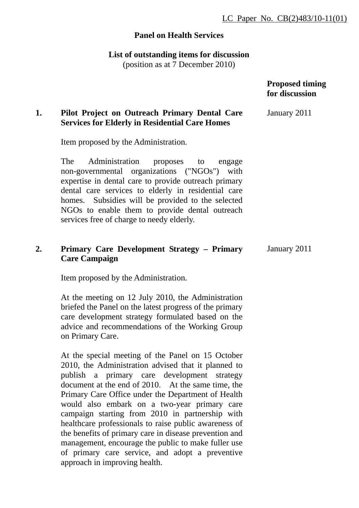# **Panel on Health Services**

**List of outstanding items for discussion**  (position as at 7 December 2010)

> **Proposed timing for discussion**

January 2011

# **1. Pilot Project on Outreach Primary Dental Care Services for Elderly in Residential Care Homes**

Item proposed by the Administration.

The Administration proposes to engage non-governmental organizations ("NGOs") with expertise in dental care to provide outreach primary dental care services to elderly in residential care homes. Subsidies will be provided to the selected NGOs to enable them to provide dental outreach services free of charge to needy elderly.

#### **2. Primary Care Development Strategy – Primary Care Campaign**  January 2011

Item proposed by the Administration.

At the meeting on 12 July 2010, the Administration briefed the Panel on the latest progress of the primary care development strategy formulated based on the advice and recommendations of the Working Group on Primary Care.

At the special meeting of the Panel on 15 October 2010, the Administration advised that it planned to publish a primary care development strategy document at the end of 2010. At the same time, the Primary Care Office under the Department of Health would also embark on a two-year primary care campaign starting from 2010 in partnership with healthcare professionals to raise public awareness of the benefits of primary care in disease prevention and management, encourage the public to make fuller use of primary care service, and adopt a preventive approach in improving health.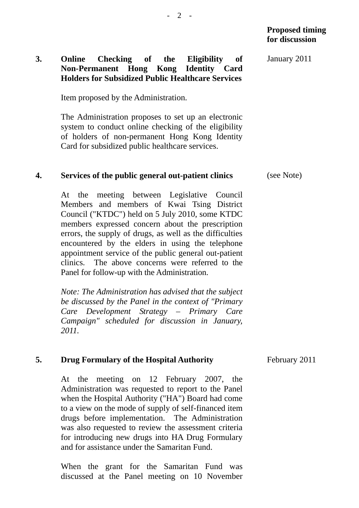Item proposed by the Administration.

The Administration proposes to set up an electronic system to conduct online checking of the eligibility of holders of non-permanent Hong Kong Identity Card for subsidized public healthcare services.

#### **4. Services of the public general out-patient clinics**  (see Note)

At the meeting between Legislative Council Members and members of Kwai Tsing District Council ("KTDC") held on 5 July 2010, some KTDC members expressed concern about the prescription errors, the supply of drugs, as well as the difficulties encountered by the elders in using the telephone appointment service of the public general out-patient clinics. The above concerns were referred to the Panel for follow-up with the Administration.

*Note: The Administration has advised that the subject be discussed by the Panel in the context of "Primary Care Development Strategy – Primary Care Campaign" scheduled for discussion in January, 2011.* 

### **5. Drug Formulary of the Hospital Authority**

At the meeting on 12 February 2007, the Administration was requested to report to the Panel when the Hospital Authority ("HA") Board had come to a view on the mode of supply of self-financed item drugs before implementation. The Administration was also requested to review the assessment criteria for introducing new drugs into HA Drug Formulary and for assistance under the Samaritan Fund.

When the grant for the Samaritan Fund was discussed at the Panel meeting on 10 November February 2011

January 2011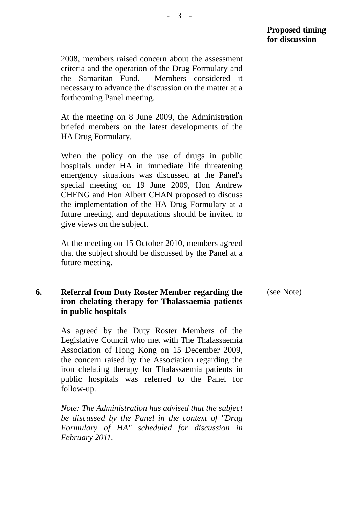2008, members raised concern about the assessment criteria and the operation of the Drug Formulary and the Samaritan Fund. Members considered it necessary to advance the discussion on the matter at a forthcoming Panel meeting.

At the meeting on 8 June 2009, the Administration briefed members on the latest developments of the HA Drug Formulary.

When the policy on the use of drugs in public hospitals under HA in immediate life threatening emergency situations was discussed at the Panel's special meeting on 19 June 2009, Hon Andrew CHENG and Hon Albert CHAN proposed to discuss the implementation of the HA Drug Formulary at a future meeting, and deputations should be invited to give views on the subject.

At the meeting on 15 October 2010, members agreed that the subject should be discussed by the Panel at a future meeting.

### **6. Referral from Duty Roster Member regarding the iron chelating therapy for Thalassaemia patients in public hospitals**  (see Note)

As agreed by the Duty Roster Members of the Legislative Council who met with The Thalassaemia Association of Hong Kong on 15 December 2009, the concern raised by the Association regarding the iron chelating therapy for Thalassaemia patients in public hospitals was referred to the Panel for follow-up.

*Note: The Administration has advised that the subject be discussed by the Panel in the context of "Drug Formulary of HA" scheduled for discussion in February 2011.*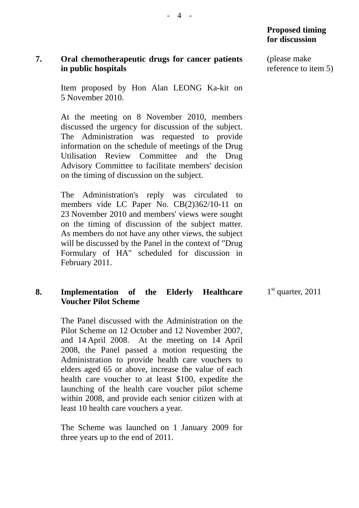(please make

# **7. Oral chemotherapeutic drugs for cancer patients in public hospitals**

reference to item 5)

Item proposed by Hon Alan LEONG Ka-kit on 5 November 2010.

At the meeting on 8 November 2010, members discussed the urgency for discussion of the subject. The Administration was requested to provide information on the schedule of meetings of the Drug Utilisation Review Committee and the Drug Advisory Committee to facilitate members' decision on the timing of discussion on the subject.

The Administration's reply was circulated to members vide LC Paper No. CB(2)362/10-11 on 23 November 2010 and members' views were sought on the timing of discussion of the subject matter. As members do not have any other views, the subject will be discussed by the Panel in the context of "Drug Formulary of HA" scheduled for discussion in February 2011.

#### **8. Implementation of the Elderly Healthcare Voucher Pilot Scheme**   $1<sup>st</sup>$  quarter, 2011

The Panel discussed with the Administration on the Pilot Scheme on 12 October and 12 November 2007, and 14 April 2008. At the meeting on 14 April 2008, the Panel passed a motion requesting the Administration to provide health care vouchers to elders aged 65 or above, increase the value of each health care voucher to at least \$100, expedite the launching of the health care voucher pilot scheme within 2008, and provide each senior citizen with at least 10 health care vouchers a year.

The Scheme was launched on 1 January 2009 for three years up to the end of 2011.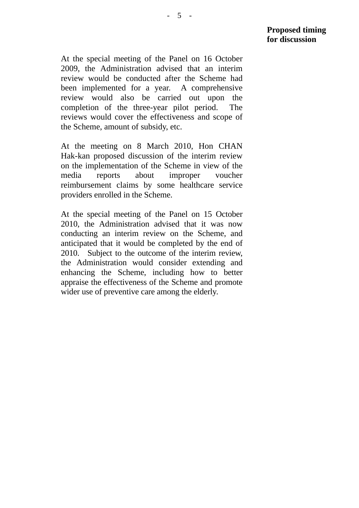At the special meeting of the Panel on 16 October 2009, the Administration advised that an interim review would be conducted after the Scheme had been implemented for a year. A comprehensive review would also be carried out upon the completion of the three-year pilot period. The reviews would cover the effectiveness and scope of the Scheme, amount of subsidy, etc.

At the meeting on 8 March 2010, Hon CHAN Hak-kan proposed discussion of the interim review on the implementation of the Scheme in view of the media reports about improper voucher reimbursement claims by some healthcare service providers enrolled in the Scheme.

At the special meeting of the Panel on 15 October 2010, the Administration advised that it was now conducting an interim review on the Scheme, and anticipated that it would be completed by the end of 2010. Subject to the outcome of the interim review, the Administration would consider extending and enhancing the Scheme, including how to better appraise the effectiveness of the Scheme and promote wider use of preventive care among the elderly.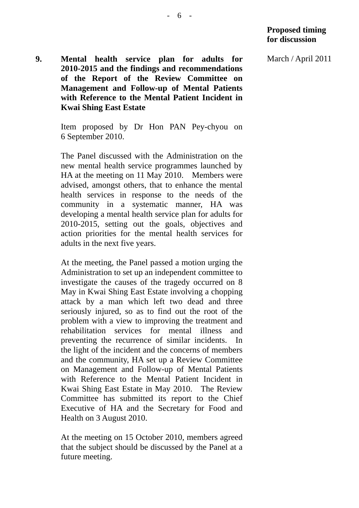March / April 2011

**9. Mental health service plan for adults for 2010-2015 and the findings and recommendations of the Report of the Review Committee on Management and Follow-up of Mental Patients with Reference to the Mental Patient Incident in Kwai Shing East Estate** 

> Item proposed by Dr Hon PAN Pey-chyou on 6 September 2010.

> The Panel discussed with the Administration on the new mental health service programmes launched by HA at the meeting on 11 May 2010. Members were advised, amongst others, that to enhance the mental health services in response to the needs of the community in a systematic manner, HA was developing a mental health service plan for adults for 2010-2015, setting out the goals, objectives and action priorities for the mental health services for adults in the next five years.

> At the meeting, the Panel passed a motion urging the Administration to set up an independent committee to investigate the causes of the tragedy occurred on 8 May in Kwai Shing East Estate involving a chopping attack by a man which left two dead and three seriously injured, so as to find out the root of the problem with a view to improving the treatment and rehabilitation services for mental illness and preventing the recurrence of similar incidents. In the light of the incident and the concerns of members and the community, HA set up a Review Committee on Management and Follow-up of Mental Patients with Reference to the Mental Patient Incident in Kwai Shing East Estate in May 2010. The Review Committee has submitted its report to the Chief Executive of HA and the Secretary for Food and Health on 3 August 2010.

> At the meeting on 15 October 2010, members agreed that the subject should be discussed by the Panel at a future meeting.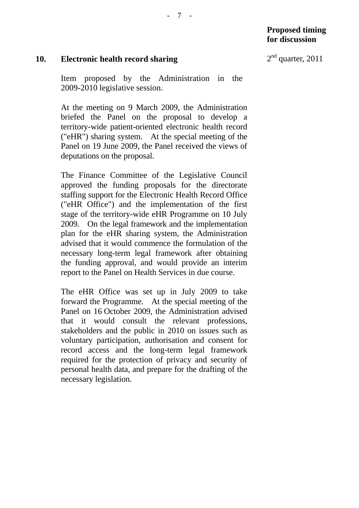### **10. Electronic health record sharing**

Item proposed by the Administration in the 2009-2010 legislative session.

At the meeting on 9 March 2009, the Administration briefed the Panel on the proposal to develop a territory-wide patient-oriented electronic health record ("eHR") sharing system. At the special meeting of the Panel on 19 June 2009, the Panel received the views of deputations on the proposal.

The Finance Committee of the Legislative Council approved the funding proposals for the directorate staffing support for the Electronic Health Record Office ("eHR Office") and the implementation of the first stage of the territory-wide eHR Programme on 10 July 2009. On the legal framework and the implementation plan for the eHR sharing system, the Administration advised that it would commence the formulation of the necessary long-term legal framework after obtaining the funding approval, and would provide an interim report to the Panel on Health Services in due course.

The eHR Office was set up in July 2009 to take forward the Programme. At the special meeting of the Panel on 16 October 2009, the Administration advised that it would consult the relevant professions, stakeholders and the public in 2010 on issues such as voluntary participation, authorisation and consent for record access and the long-term legal framework required for the protection of privacy and security of personal health data, and prepare for the drafting of the necessary legislation.

 $2<sup>nd</sup>$  quarter, 2011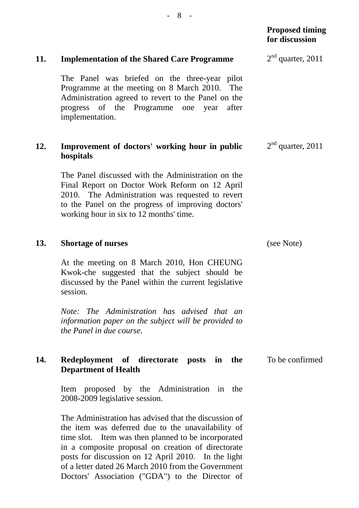|     |                                                                                                                                                                                                                                                                                                                                                                                           | <b>Proposed timing</b><br>for discussion |
|-----|-------------------------------------------------------------------------------------------------------------------------------------------------------------------------------------------------------------------------------------------------------------------------------------------------------------------------------------------------------------------------------------------|------------------------------------------|
| 11. | <b>Implementation of the Shared Care Programme</b>                                                                                                                                                                                                                                                                                                                                        | $2nd$ quarter, 2011                      |
|     | The Panel was briefed on the three-year pilot<br>Programme at the meeting on 8 March 2010.<br>The<br>Administration agreed to revert to the Panel on the<br>progress of the Programme one year<br>after<br>implementation.                                                                                                                                                                |                                          |
| 12. | Improvement of doctors' working hour in public<br>hospitals                                                                                                                                                                                                                                                                                                                               | $2nd$ quarter, 2011                      |
|     | The Panel discussed with the Administration on the<br>Final Report on Doctor Work Reform on 12 April<br>2010. The Administration was requested to revert<br>to the Panel on the progress of improving doctors'<br>working hour in six to 12 months' time.                                                                                                                                 |                                          |
| 13. | <b>Shortage of nurses</b>                                                                                                                                                                                                                                                                                                                                                                 | (see Note)                               |
|     | At the meeting on 8 March 2010, Hon CHEUNG<br>Kwok-che suggested that the subject should be<br>discussed by the Panel within the current legislative<br>session.                                                                                                                                                                                                                          |                                          |
|     | Note: The Administration has advised that an<br>information paper on the subject will be provided to<br>the Panel in due course.                                                                                                                                                                                                                                                          |                                          |
| 14. | Redeployment of directorate posts in the<br><b>Department of Health</b>                                                                                                                                                                                                                                                                                                                   | To be confirmed                          |
|     | Item proposed by the Administration in the<br>2008-2009 legislative session.                                                                                                                                                                                                                                                                                                              |                                          |
|     | The Administration has advised that the discussion of<br>the item was deferred due to the unavailability of<br>time slot. Item was then planned to be incorporated<br>in a composite proposal on creation of directorate<br>posts for discussion on 12 April 2010. In the light<br>of a letter dated 26 March 2010 from the Government<br>Doctors' Association ("GDA") to the Director of |                                          |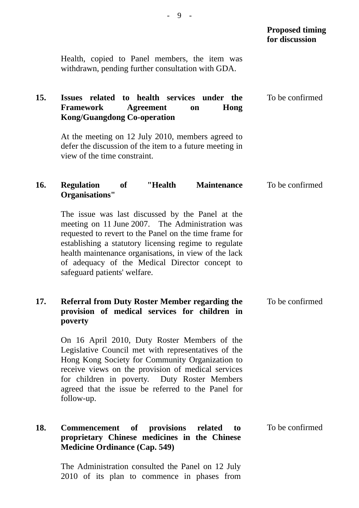|     |                                                                                                                                                                                                                                                                                                                                                                   | <b>Proposed timing</b><br>for discussion |
|-----|-------------------------------------------------------------------------------------------------------------------------------------------------------------------------------------------------------------------------------------------------------------------------------------------------------------------------------------------------------------------|------------------------------------------|
|     | Health, copied to Panel members, the item was<br>withdrawn, pending further consultation with GDA.                                                                                                                                                                                                                                                                |                                          |
| 15. | Issues related to health services under the<br><b>Framework</b><br><b>Agreement</b><br>Hong<br><b>on</b><br><b>Kong/Guangdong Co-operation</b>                                                                                                                                                                                                                    | To be confirmed                          |
|     | At the meeting on 12 July 2010, members agreed to<br>defer the discussion of the item to a future meeting in<br>view of the time constraint.                                                                                                                                                                                                                      |                                          |
| 16. | <b>Regulation</b><br>of<br>"Health<br><b>Maintenance</b><br>Organisations"                                                                                                                                                                                                                                                                                        | To be confirmed                          |
|     | The issue was last discussed by the Panel at the<br>meeting on 11 June 2007. The Administration was<br>requested to revert to the Panel on the time frame for<br>establishing a statutory licensing regime to regulate<br>health maintenance organisations, in view of the lack<br>of adequacy of the Medical Director concept to<br>safeguard patients' welfare. |                                          |
| 17. | <b>Referral from Duty Roster Member regarding the</b><br>provision of medical services for children in<br>poverty                                                                                                                                                                                                                                                 | To be confirmed                          |
|     | On 16 April 2010, Duty Roster Members of the<br>Legislative Council met with representatives of the<br>Hong Kong Society for Community Organization to<br>receive views on the provision of medical services<br>for children in poverty. Duty Roster Members<br>agreed that the issue be referred to the Panel for<br>follow-up.                                  |                                          |
| 18. | <b>Commencement</b><br>of<br>provisions related<br>to<br>proprietary Chinese medicines in the Chinese<br><b>Medicine Ordinance (Cap. 549)</b>                                                                                                                                                                                                                     | To be confirmed                          |
|     | The Administration consulted the Panel on 12 July                                                                                                                                                                                                                                                                                                                 |                                          |

2010 of its plan to commence in phases from

- 9 -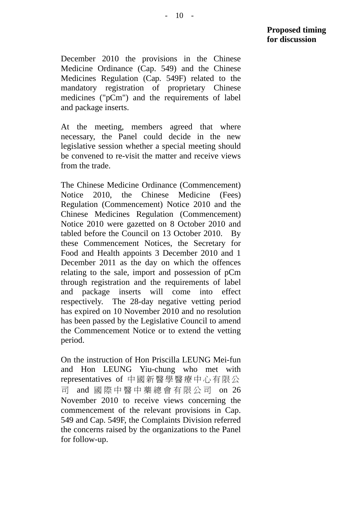December 2010 the provisions in the Chinese Medicine Ordinance (Cap. 549) and the Chinese Medicines Regulation (Cap. 549F) related to the mandatory registration of proprietary Chinese medicines ("pCm") and the requirements of label and package inserts.

At the meeting, members agreed that where necessary, the Panel could decide in the new legislative session whether a special meeting should be convened to re-visit the matter and receive views from the trade.

The Chinese Medicine Ordinance (Commencement) Notice 2010, the Chinese Medicine (Fees) Regulation (Commencement) Notice 2010 and the Chinese Medicines Regulation (Commencement) Notice 2010 were gazetted on 8 October 2010 and tabled before the Council on 13 October 2010. By these Commencement Notices, the Secretary for Food and Health appoints 3 December 2010 and 1 December 2011 as the day on which the offences relating to the sale, import and possession of pCm through registration and the requirements of label and package inserts will come into effect respectively. The 28-day negative vetting period has expired on 10 November 2010 and no resolution has been passed by the Legislative Council to amend the Commencement Notice or to extend the vetting period.

On the instruction of Hon Priscilla LEUNG Mei-fun and Hon LEUNG Yiu-chung who met with representatives of 中國新醫學醫療中心有限公 司 and 國際中醫中藥總會有限公司 on 26 November 2010 to receive views concerning the commencement of the relevant provisions in Cap. 549 and Cap. 549F, the Complaints Division referred the concerns raised by the organizations to the Panel for follow-up.